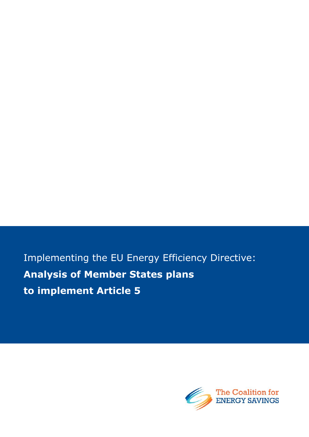Implementing the EU Energy Efficiency Directive: **Analysis of Member States plans to implement Article 5**

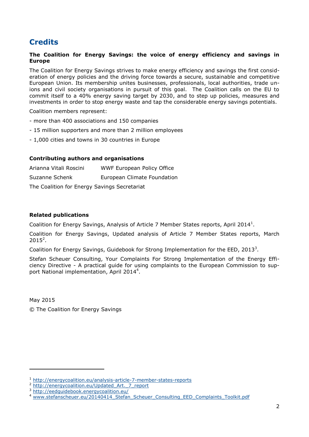# **Credits**

### **The Coalition for Energy Savings: the voice of energy efficiency and savings in Europe**

The Coalition for Energy Savings strives to make energy efficiency and savings the first consideration of energy policies and the driving force towards a secure, sustainable and competitive European Union. Its membership unites businesses, professionals, local authorities, trade unions and civil society organisations in pursuit of this goal. The Coalition calls on the EU to commit itself to a 40% energy saving target by 2030, and to step up policies, measures and investments in order to stop energy waste and tap the considerable energy savings potentials.

Coalition members represent:

- more than 400 associations and 150 companies
- 15 million supporters and more than 2 million employees
- 1,000 cities and towns in 30 countries in Europe

### **Contributing authors and organisations**

| Arianna Vitali Roscini                    | WWF European Policy Office  |  |  |  |  |
|-------------------------------------------|-----------------------------|--|--|--|--|
| Suzanne Schenk                            | European Climate Foundation |  |  |  |  |
| The Celling Car France Cartage Countering |                             |  |  |  |  |

The Coalition for Energy Savings Secretariat

### **Related publications**

Coalition for Energy Savings, Analysis of Article 7 Member States reports, April 2014<sup>1</sup>.

Coalition for Energy Savings, Updated analysis of Article 7 Member States reports, March  $2015^2$ .

Coalition for Energy Savings, Guidebook for Strong Implementation for the EED, 2013<sup>3</sup>.

Stefan Scheuer Consulting, Your Complaints For Strong Implementation of the Energy Efficiency Directive - A practical guide for using complaints to the European Commission to support National implementation, April 2014<sup>4</sup>.

May 2015

-

© The Coalition for Energy Savings

<sup>1</sup> <http://energycoalition.eu/analysis-article-7-member-states-reports>

<sup>&</sup>lt;sup>2</sup> http://energycoalition.eu/Updated Art. 7 report

<sup>3</sup> <http://eedguidebook.energycoalition.eu/>

[www.stefanscheuer.eu/20140414\\_Stefan\\_Scheuer\\_Consulting\\_EED\\_Complaints\\_Toolkit.pdf](http://www.stefanscheuer.eu/20140414_Stefan_Scheuer_Consulting_EED_Complaints_Toolkit.pdf)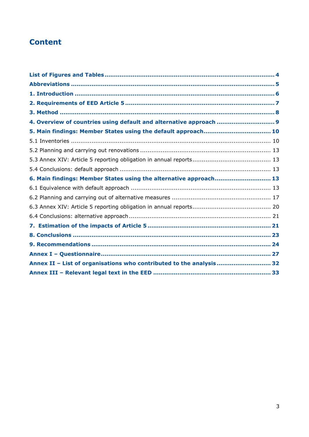# **Content**

| 4. Overview of countries using default and alternative approach  9  |  |
|---------------------------------------------------------------------|--|
| 5. Main findings: Member States using the default approach 10       |  |
|                                                                     |  |
|                                                                     |  |
|                                                                     |  |
|                                                                     |  |
| 6. Main findings: Member States using the alternative approach 13   |  |
|                                                                     |  |
|                                                                     |  |
|                                                                     |  |
|                                                                     |  |
|                                                                     |  |
|                                                                     |  |
|                                                                     |  |
|                                                                     |  |
| Annex II - List of organisations who contributed to the analysis 32 |  |
|                                                                     |  |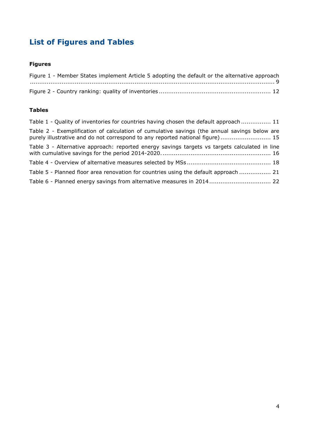# <span id="page-3-0"></span>**List of Figures and Tables**

## **Figures**

| Figure 1 - Member States implement Article 5 adopting the default or the alternative approach |  |
|-----------------------------------------------------------------------------------------------|--|
|                                                                                               |  |
|                                                                                               |  |

### **Tables**

| Table 1 - Quality of inventories for countries having chosen the default approach  11                                                                                         |
|-------------------------------------------------------------------------------------------------------------------------------------------------------------------------------|
| Table 2 - Exemplification of calculation of cumulative savings (the annual savings below are<br>purely illustrative and do not correspond to any reported national figure) 15 |
| Table 3 - Alternative approach: reported energy savings targets vs targets calculated in line                                                                                 |
|                                                                                                                                                                               |
| Table 5 - Planned floor area renovation for countries using the default approach  21                                                                                          |
| Table 6 - Planned energy savings from alternative measures in 2014 22                                                                                                         |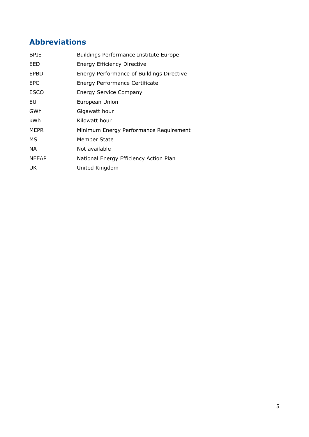# <span id="page-4-0"></span>**Abbreviations**

| <b>BPIE</b>  | <b>Buildings Performance Institute Europe</b> |
|--------------|-----------------------------------------------|
| EED          | <b>Energy Efficiency Directive</b>            |
| <b>EPBD</b>  | Energy Performance of Buildings Directive     |
| EPC          | Energy Performance Certificate                |
| <b>ESCO</b>  | <b>Energy Service Company</b>                 |
| EU           | European Union                                |
| GWh          | Gigawatt hour                                 |
| kWh          | Kilowatt hour                                 |
| <b>MEPR</b>  | Minimum Energy Performance Requirement        |
| МS           | Member State                                  |
| NA.          | Not available                                 |
| <b>NEEAP</b> | National Energy Efficiency Action Plan        |
| UK.          | United Kingdom                                |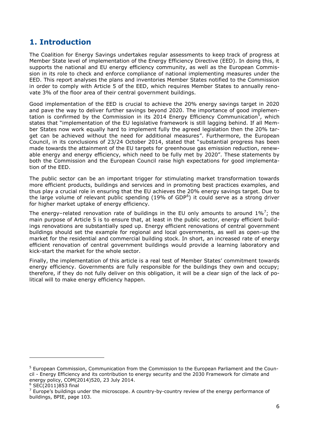# <span id="page-5-0"></span>**1. Introduction**

The Coalition for Energy Savings undertakes regular assessments to keep track of progress at Member State level of implementation of the Energy Efficiency Directive (EED). In doing this, it supports the national and EU energy efficiency community, as well as the European Commission in its role to check and enforce compliance of national implementing measures under the EED. This report analyses the plans and inventories Member States notified to the Commission in order to comply with Article 5 of the EED, which requires Member States to annually renovate 3% of the floor area of their central government buildings.

Good implementation of the EED is crucial to achieve the 20% energy savings target in 2020 and pave the way to deliver further savings beyond 2020. The importance of good implementation is confirmed by the Commission in its 2014 Energy Efficiency Communication<sup>5</sup>, which states that "implementation of the EU legislative framework is still lagging behind. If all Member States now work equally hard to implement fully the agreed legislation then the 20% target can be achieved without the need for additional measures". Furthermore, the European Council, in its conclusions of 23/24 October 2014, stated that "substantial progress has been made towards the attainment of the EU targets for greenhouse gas emission reduction, renewable energy and energy efficiency, which need to be fully met by 2020". These statements by both the Commission and the European Council raise high expectations for good implementation of the EED.

The public sector can be an important trigger for stimulating market transformation towards more efficient products, buildings and services and in promoting best practices examples, and thus play a crucial role in ensuring that the EU achieves the 20% energy savings target. Due to the large volume of relevant public spending (19% of GDP<sup>6</sup>) it could serve as a strong driver for higher market uptake of energy efficiency.

The energy-related renovation rate of buildings in the EU only amounts to around  $1\%$ <sup>7</sup>; the main purpose of Article 5 is to ensure that, at least in the public sector, energy efficient buildings renovations are substantially sped up. Energy efficient renovations of central government buildings should set the example for regional and local governments, as well as open-up the market for the residential and commercial building stock. In short, an increased rate of energy efficient renovation of central government buildings would provide a learning laboratory and kick-start the market for the whole sector.

Finally, the implementation of this article is a real test of Member States' commitment towards energy efficiency. Governments are fully responsible for the buildings they own and occupy; therefore, if they do not fully deliver on this obligation, it will be a clear sign of the lack of political will to make energy efficiency happen.

<sup>5</sup> European Commission, Communication from the Commission to the European Parliament and the Council - Energy Efficiency and its contribution to energy security and the 2030 Framework for climate and energy policy, COM(2014)520, 23 July 2014.

 $6$  SEC(2011)853 final

 $<sup>7</sup>$  Europe's buildings under the microscope. A country-by-country review of the energy performance of</sup> buildings, BPIE, page 103.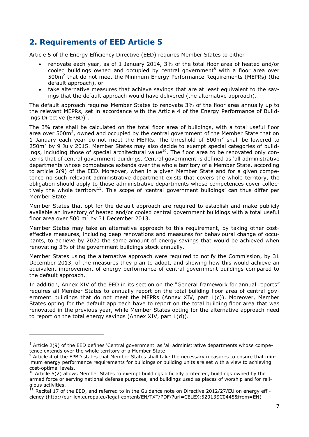# <span id="page-6-0"></span>**2. Requirements of EED Article 5**

Article 5 of the Energy Efficiency Directive (EED) requires Member States to either

- renovate each year, as of 1 January 2014, 3% of the total floor area of heated and/or cooled buildings owned and occupied by central government<sup>8</sup> with a floor area over 500m<sup>2</sup> that do not meet the Minimum Energy Performance Requirements (MEPRs) (the default approach), or
- take alternative measures that achieve savings that are at least equivalent to the savings that the default approach would have delivered (the alternative approach).

The default approach requires Member States to renovate 3% of the floor area annually up to the relevant MEPRs, set in accordance with the Article 4 of the Energy Performance of Buildings Directive (EPBD)<sup>9</sup>.

The 3% rate shall be calculated on the total floor area of buildings, with a total useful floor area over 500 $m^2$ , owned and occupied by the central government of the Member State that on 1 January each year do not meet the MEPRs. The threshold of  $500m<sup>2</sup>$  shall be lowered to 250m<sup>2</sup> by 9 July 2015. Member States may also decide to exempt special categories of buildings, including those of special architectural value<sup>10</sup>. The floor area to be renovated only concerns that of central government buildings. Central government is defined as 'all administrative departments whose competence extends over the whole territory of a Member State, according to article 2(9) of the EED. Moreover, when in a given Member State and for a given competence no such relevant administrative department exists that covers the whole territory, the obligation should apply to those administrative departments whose competences cover collectively the whole territory<sup>11</sup>. This scope of 'central government buildings' can thus differ per Member State.

Member States that opt for the default approach are required to establish and make publicly available an inventory of heated and/or cooled central government buildings with a total useful floor area over 500  $m^2$  by 31 December 2013.

Member States may take an alternative approach to this requirement, by taking other costeffective measures, including deep renovations and measures for behavioural change of occupants, to achieve by 2020 the same amount of energy savings that would be achieved when renovating 3% of the government buildings stock annually.

Member States using the alternative approach were required to notify the Commission, by 31 December 2013, of the measures they plan to adopt, and showing how this would achieve an equivalent improvement of energy performance of central government buildings compared to the default approach.

In addition, Annex XIV of the EED in its section on the "General framework for annual reports" requires all Member States to annually report on the total building floor area of central government buildings that do not meet the MEPRs (Annex XIV, part 1(c)). Moreover, Member States opting for the default approach have to report on the total building floor area that was renovated in the previous year, while Member States opting for the alternative approach need to report on the total energy savings (Annex XIV, part 1(d)).

<sup>&</sup>lt;sup>8</sup> Article 2(9) of the EED defines 'Central government' as 'all administrative departments whose competence extends over the whole territory of a Member State.

 $9$  Article 4 of the EPBD states that Member States shall take the necessary measures to ensure that minimum energy performance requirements for buildings or building units are set with a view to achieving cost-optimal levels.

 $10$  Article 5(2) allows Member States to exempt buildings officially protected, buildings owned by the armed force or serving national defense purposes, and buildings used as places of worship and for religious activities.

 $^{11}$  Recital 17 of the EED, and referred to in the Guidance note on Directive 2012/27/EU on energy efficiency (http://eur-lex.europa.eu/legal-content/EN/TXT/PDF/?uri=CELEX:52013SC0445&from=EN)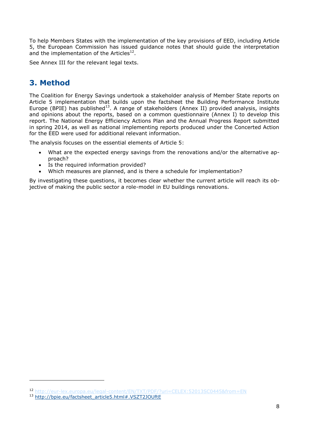To help Members States with the implementation of the key provisions of EED, including Article 5, the European Commission has issued guidance notes that should guide the interpretation and the implementation of the Articles<sup>12</sup>.

See Annex III for the relevant legal texts.

# <span id="page-7-0"></span>**3. Method**

The Coalition for Energy Savings undertook a stakeholder analysis of Member State reports on Article 5 implementation that builds upon the factsheet the Building Performance Institute Europe (BPIE) has published<sup>13</sup>. A range of stakeholders (Annex II) provided analysis, insights and opinions about the reports, based on a common questionnaire (Annex I) to develop this report. The National Energy Efficiency Actions Plan and the Annual Progress Report submitted in spring 2014, as well as national implementing reports produced under the Concerted Action for the EED were used for additional relevant information.

The analysis focuses on the essential elements of Article 5:

- What are the expected energy savings from the renovations and/or the alternative approach?
- Is the required information provided?
- Which measures are planned, and is there a schedule for implementation?

By investigating these questions, it becomes clear whether the current article will reach its objective of making the public sector a role-model in EU buildings renovations.

<sup>12</sup> <http://eur-lex.europa.eu/legal-content/EN/TXT/PDF/?uri=CELEX:52013SC0445&from=EN>

<sup>13</sup> [http://bpie.eu/factsheet\\_article5.html#.VSZT2JOUftE](http://bpie.eu/factsheet_article5.html#.VSZT2JOUftE)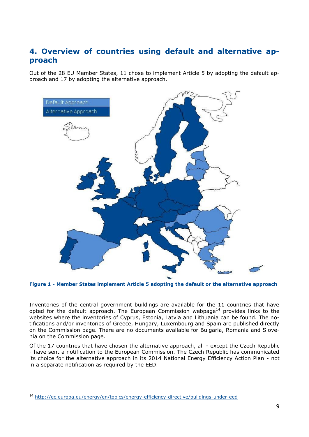# <span id="page-8-0"></span>**4. Overview of countries using default and alternative approach**

Out of the 28 EU Member States, 11 chose to implement Article 5 by adopting the default approach and 17 by adopting the alternative approach.



<span id="page-8-1"></span>**Figure 1 - Member States implement Article 5 adopting the default or the alternative approach**

Inventories of the central government buildings are available for the 11 countries that have opted for the default approach. The European Commission webpage<sup>14</sup> provides links to the websites where the inventories of Cyprus, Estonia, Latvia and Lithuania can be found. The notifications and/or inventories of Greece, Hungary, Luxembourg and Spain are published directly on the Commission page. There are no documents available for Bulgaria, Romania and Slovenia on the Commission page.

Of the 17 countries that have chosen the alternative approach, all - except the Czech Republic - have sent a notification to the European Commission. The Czech Republic has communicated its choice for the alternative approach in its 2014 National Energy Efficiency Action Plan - not in a separate notification as required by the EED.

<sup>14</sup> <http://ec.europa.eu/energy/en/topics/energy-efficiency-directive/buildings-under-eed>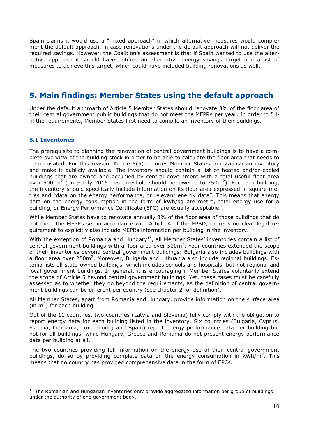Spain claims it would use a "mixed approach" in which alternative measures would complement the default approach, in case renovations under the default approach will not deliver the required savings. However, the Coalition's assessment is that if Spain wanted to use the alternative approach it should have notified an alternative energy savings target and a list of measures to achieve this target, which could have included building renovations as well.

# <span id="page-9-0"></span>**5. Main findings: Member States using the default approach**

Under the default approach of Article 5 Member States should renovate 3% of the floor area of their central government public buildings that do not meet the MEPRs per year. In order to fulfil the requirements, Member States first need to compile an inventory of their buildings.

### <span id="page-9-1"></span>**5.1 Inventories**

-

The prerequisite to planning the renovation of central government buildings is to have a complete overview of the building stock in order to be able to calculate the floor area that needs to be renovated. For this reason, Article 5(5) requires Member States to establish an inventory and make it publicly available. The inventory should contain a list of heated and/or cooled buildings that are owned and occupied by central government with a total useful floor area over 500 m<sup>2</sup> (on 9 July 2015 this threshold should be lowered to 250m<sup>2</sup>). For each building, the inventory should specifically include information on its floor area expressed in square metres and "data on the energy performance, or relevant energy data". This means that energy data on the energy consumption in the form of kWh/square metre, total energy use for a building, or Energy Performance Certificate (EPC) are equally acceptable.

While Member States have to renovate annually 3% of the floor area of those buildings that do not meet the MEPRs set in accordance with Article 4 of the EPBD, there is no clear legal requirement to explicitly also include MEPRs information per building in the inventory.

With the exception of Romania and Hungary<sup>15</sup>, all Member States' inventories contain a list of central government buildings with a floor area over  $500m^2$ . Four countries extended the scope of their inventories beyond central government buildings: Bulgaria also includes buildings with a floor area over 250m<sup>2</sup>. Moreover, Bulgaria and Lithuania also include regional buildings. Estonia lists all state-owned buildings, which includes schools and hospitals, but not regional and local government buildings. In general, it is encouraging if Member States voluntarily extend the scope of Article 5 beyond central government buildings. Yet, these cases must be carefully assessed as to whether they go beyond the requirements, as the definition of central government buildings can be different per country (see chapter 2 for definition).

All Member States, apart from Romania and Hungary, provide information on the surface area (in  $m^2$ ) for each building.

Out of the 11 countries, two countries (Latvia and Slovenia) fully comply with the obligation to report energy data for each building listed in the inventory. Six countries (Bulgaria, Cyprus, Estonia, Lithuania, Luxembourg and Spain) report energy performance data per building but not for all buildings, while Hungary, Greece and Romania do not present energy performance data per building at all.

The two countries providing full information on the energy use of their central government buildings, do so by providing complete data on the energy consumption in  $kWh/m^2$ . This means that no country has provided comprehensive data in the form of EPCs.

<sup>&</sup>lt;sup>15</sup> The Romanian and Hungarian inventories only provide aggregated information per group of buildings under the authority of one government body.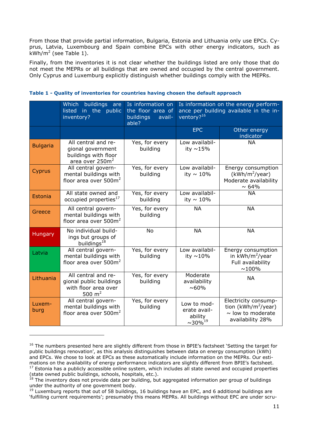From those that provide partial information, Bulgaria, Estonia and Lithuania only use EPCs. Cyprus, Latvia, Luxembourg and Spain combine EPCs with other energy indicators, such as  $kWh/m^2$  (see Table 1).

Finally, from the inventories it is not clear whether the buildings listed are only those that do not meet the MEPRs or all buildings that are owned and occupied by the central government. Only Cyprus and Luxemburg explicitly distinguish whether buildings comply with the MEPRs.

|                 | <b>buildings</b><br>Which<br>are<br>listed in the public<br>inventory?                          | Is information on<br>the floor area of<br>buildings<br>avail-<br>able? | Is information on the energy perform-<br>ance per building available in the in-<br>ventory? <sup>16</sup> |                                                                                                       |  |
|-----------------|-------------------------------------------------------------------------------------------------|------------------------------------------------------------------------|-----------------------------------------------------------------------------------------------------------|-------------------------------------------------------------------------------------------------------|--|
|                 |                                                                                                 |                                                                        | <b>EPC</b>                                                                                                | Other energy<br>indicator                                                                             |  |
| <b>Bulgaria</b> | All central and re-<br>gional government<br>buildings with floor<br>area over 250m <sup>2</sup> | Yes, for every<br>building                                             | Low availabil-<br>ity ~15%                                                                                | <b>NA</b>                                                                                             |  |
| Cyprus          | All central govern-<br>mental buildings with<br>floor area over 500m <sup>2</sup>               | Yes, for every<br>building                                             | Low availabil-<br>ity $\sim 10\%$                                                                         | Energy consumption<br>$(kWh/m^2$ /year)<br>Moderate availability<br>$\sim 64\%$                       |  |
| Estonia         | All state owned and<br>occupied properties <sup>17</sup>                                        | Yes, for every<br>building                                             | Low availabil-<br>ity $\sim 10\%$                                                                         | <b>NA</b>                                                                                             |  |
| Greece          | All central govern-<br>mental buildings with<br>floor area over 500m <sup>2</sup>               | Yes, for every<br>building                                             | <b>NA</b>                                                                                                 | <b>NA</b>                                                                                             |  |
| Hungary         | No individual build-<br>ings but groups of<br>buildings <sup>18</sup>                           | <b>No</b>                                                              | <b>NA</b>                                                                                                 | <b>NA</b>                                                                                             |  |
| Latvia          | All central govern-<br>mental buildings with<br>floor area over 500m <sup>2</sup>               | Yes, for every<br>building                                             | Low availabil-<br>ity $\sim$ 10%                                                                          | Energy consumption<br>in kWh/m <sup>2</sup> /year<br>Full availability<br>$~100\%$                    |  |
| Lithuania       | All central and re-<br>gional public buildings<br>with floor area over<br>500 $m2$              | Yes, for every<br>building                                             | Moderate<br>availability<br>$~100\%$                                                                      | <b>NA</b>                                                                                             |  |
| Luxem-<br>burg  | All central govern-<br>mental buildings with<br>floor area over 500m <sup>2</sup>               | Yes, for every<br>building                                             | Low to mod-<br>erate avail-<br>ability<br>$\sim$ 30% <sup>19</sup>                                        | Electricity consump-<br>tion (kWh/m <sup>2</sup> /year)<br>$\sim$ low to moderate<br>availability 28% |  |

#### <span id="page-10-0"></span>**Table 1 - Quality of inventories for countries having chosen the default approach**

<sup>&</sup>lt;sup>16</sup> The numbers presented here are slightly different from those in BPIE's factsheet 'Setting the target for public buildings renovation', as this analysis distinguishes between data on energy consumption (kWh) and EPCs. We chose to look at EPCs as these automatically include information on the MEPRs. Our estimations on the availability of energy performance indicators are slightly different from BPIE's factsheet. 17 Estonia has a publicly accessible online system, which includes all state owned and occupied properties (state owned public buildings, schools, hospitals, etc.).

 $18$  The inventory does not provide data per building, but aggregated information per group of buildings under the authority of one government body.

 $19$  Luxemburg reports that out of 58 buildings, 16 buildings have an EPC, and 6 additional buildings are 'fulfilling current requirements'; presumably this means MEPRs. All buildings without EPC are under scru-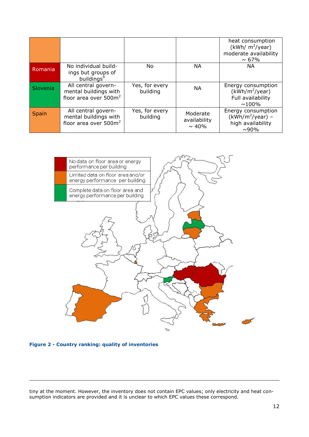|                 |                                                                                   |                            |                                         | heat consumption<br>(kWh/ $m^2$ /year)<br>moderate availability<br>$\sim 67\%$ |
|-----------------|-----------------------------------------------------------------------------------|----------------------------|-----------------------------------------|--------------------------------------------------------------------------------|
| Romania         | No individual build-<br>ings but groups of<br>buildings <sup>9</sup>              | No.                        | NА                                      | <b>NA</b>                                                                      |
| <b>Slovenia</b> | All central govern-<br>mental buildings with<br>floor area over $500m^2$          | Yes, for every<br>building | <b>NA</b>                               | Energy consumption<br>$(kWh/m^2$ /year)<br>Full availability<br>$\sim 100\%$   |
| Spain           | All central govern-<br>mental buildings with<br>floor area over 500m <sup>2</sup> | Yes, for every<br>building | Moderate<br>availability<br>$\sim 40\%$ | Energy consumption<br>$(kWh/m^2$ /year) –<br>high availability<br>$\sim$ 90%   |



<span id="page-11-1"></span><span id="page-11-0"></span>**Figure 2 - Country ranking: quality of inventories**

tiny at the moment. However, the inventory does not contain EPC values; only electricity and heat consumption indicators are provided and it is unclear to which EPC values these correspond.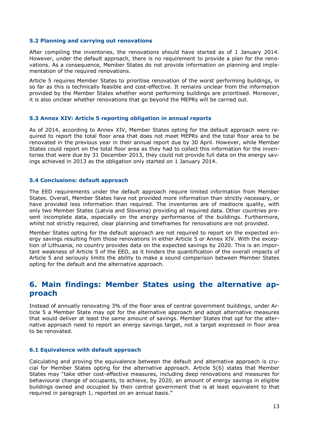#### **5.2 Planning and carrying out renovations**

After compiling the inventories, the renovations should have started as of 1 January 2014. However, under the default approach, there is no requirement to provide a plan for the renovations. As a consequence, Member States do not provide information on planning and implementation of the required renovations.

Article 5 requires Member States to prioritise renovation of the worst performing buildings, in so far as this is technically feasible and cost-effective. It remains unclear from the information provided by the Member States whether worst performing buildings are prioritised. Moreover, it is also unclear whether renovations that go beyond the MEPRs will be carried out.

#### <span id="page-12-0"></span>**5.3 Annex XIV: Article 5 reporting obligation in annual reports**

As of 2014, according to Annex XIV, Member States opting for the default approach were required to report the total floor area that does not meet MEPRs and the total floor area to be renovated in the previous year in their annual report due by 30 April. However, while Member States could report on the total floor area as they had to collect this information for the inventories that were due by 31 December 2013, they could not provide full data on the energy savings achieved in 2013 as the obligation only started on 1 January 2014.

#### <span id="page-12-1"></span>**5.4 Conclusions: default approach**

The EED requirements under the default approach require limited information from Member States. Overall, Member States have not provided more information than strictly necessary, or have provided less information than required. The inventories are of mediocre quality, with only two Member States (Latvia and Slovenia) providing all required data. Other countries present incomplete data, especially on the energy performance of the buildings. Furthermore, whilst not strictly required, clear planning and timeframes for renovations are not provided.

Member States opting for the default approach are not required to report on the expected energy savings resulting from those renovations in either Article 5 or Annex XIV. With the exception of Lithuania, no country provides data on the expected savings by 2020. This is an important weakness of Article 5 of the EED, as it hinders the quantification of the overall impacts of Article 5 and seriously limits the ability to make a sound comparison between Member States opting for the default and the alternative approach.

# <span id="page-12-2"></span>**6. Main findings: Member States using the alternative approach**

Instead of annually renovating 3% of the floor area of central government buildings, under Article 5 a Member State may opt for the alternative approach and adopt alternative measures that would deliver at least the same amount of savings. Member States that opt for the alternative approach need to report an energy savings target, not a target expressed in floor area to be renovated.

#### <span id="page-12-3"></span>**6.1 Equivalence with default approach**

Calculating and proving the equivalence between the default and alternative approach is crucial for Member States opting for the alternative approach. Article 5(6) states that Member States may "take other cost-effective measures, including deep renovations and measures for behavioural change of occupants, to achieve, by 2020, an amount of energy savings in eligible buildings owned and occupied by their central government that is at least equivalent to that required in paragraph 1, reported on an annual basis."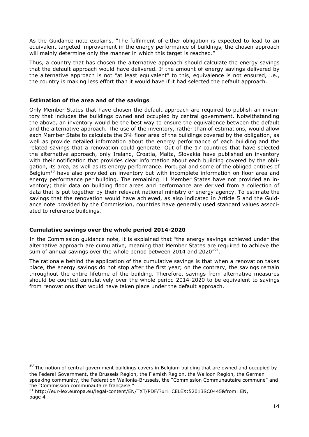As the Guidance note explains, "The fulfilment of either obligation is expected to lead to an equivalent targeted improvement in the energy performance of buildings, the chosen approach will mainly determine only the manner in which this target is reached."

Thus, a country that has chosen the alternative approach should calculate the energy savings that the default approach would have delivered. If the amount of energy savings delivered by the alternative approach is not "at least equivalent" to this, equivalence is not ensured, i.e., the country is making less effort than it would have if it had selected the default approach.

### **Estimation of the area and of the savings**

Only Member States that have chosen the default approach are required to publish an inventory that includes the buildings owned and occupied by central government. Notwithstanding the above, an inventory would be the best way to ensure the equivalence between the default and the alternative approach. The use of the inventory, rather than of estimations, would allow each Member State to calculate the 3% floor area of the buildings covered by the obligation, as well as provide detailed information about the energy performance of each building and the related savings that a renovation could generate. Out of the 17 countries that have selected the alternative approach, only Ireland, Croatia, Malta, Slovakia have published an inventory with their notification that provides clear information about each building covered by the obligation, its area, as well as its energy performance. Portugal and some of the obliged entities of Belgium<sup>20</sup> have also provided an inventory but with incomplete information on floor area and energy performance per building. The remaining 11 Member States have not provided an inventory; their data on building floor areas and performance are derived from a collection of data that is put together by their relevant national ministry or energy agency. To estimate the savings that the renovation would have achieved, as also indicated in Article 5 and the Guidance note provided by the Commission, countries have generally used standard values associated to reference buildings.

### **Cumulative savings over the whole period 2014-2020**

-

In the Commission guidance note, it is explained that "the energy savings achieved under the alternative approach are cumulative, meaning that Member States are required to achieve the sum of annual savings over the whole period between 2014 and 2020 $^{\prime\prime21}$ .

The rationale behind the application of the cumulative savings is that when a renovation takes place, the energy savings do not stop after the first year; on the contrary, the savings remain throughout the entire lifetime of the building. Therefore, savings from alternative measures should be counted cumulatively over the whole period 2014-2020 to be equivalent to savings from renovations that would have taken place under the default approach.

 $20$  The notion of central government buildings covers in Belgium building that are owned and occupied by the Federal Government, the Brussels Region, the Flemish Region, the Walloon Region, the German speaking community, the Federation Wallonia-Brussels, the "Commission Communautaire commune" and the "Commission communautaire française."

<sup>&</sup>lt;sup>21</sup> http://eur-lex.europa.eu/legal-content/EN/TXT/PDF/?uri=CELEX:52013SC0445&from=EN, page 4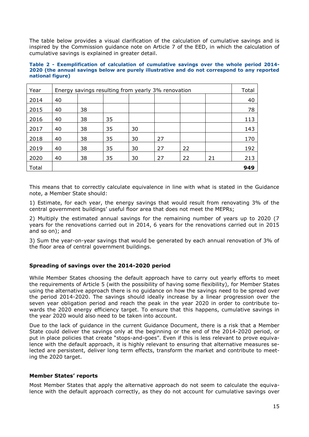The table below provides a visual clarification of the calculation of cumulative savings and is inspired by the Commission guidance note on Article 7 of the EED, in which the calculation of cumulative savings is explained in greater detail.

#### <span id="page-14-0"></span>**Table 2 - Exemplification of calculation of cumulative savings over the whole period 2014- 2020 (the annual savings below are purely illustrative and do not correspond to any reported national figure)**

| Year  | Energy savings resulting from yearly 3% renovation |    |    |    |    | Total |    |     |
|-------|----------------------------------------------------|----|----|----|----|-------|----|-----|
| 2014  | 40                                                 |    |    |    |    |       |    | 40  |
| 2015  | 40                                                 | 38 |    |    |    |       |    | 78  |
| 2016  | 40                                                 | 38 | 35 |    |    |       |    | 113 |
| 2017  | 40                                                 | 38 | 35 | 30 |    |       |    | 143 |
| 2018  | 40                                                 | 38 | 35 | 30 | 27 |       |    | 170 |
| 2019  | 40                                                 | 38 | 35 | 30 | 27 | 22    |    | 192 |
| 2020  | 40                                                 | 38 | 35 | 30 | 27 | 22    | 21 | 213 |
| Total |                                                    |    |    |    |    |       |    | 949 |

This means that to correctly calculate equivalence in line with what is stated in the Guidance note, a Member State should:

1) Estimate, for each year, the energy savings that would result from renovating 3% of the central government buildings' useful floor area that does not meet the MEPRs;

2) Multiply the estimated annual savings for the remaining number of years up to 2020 (7 years for the renovations carried out in 2014, 6 years for the renovations carried out in 2015 and so on); and

3) Sum the year-on-year savings that would be generated by each annual renovation of 3% of the floor area of central government buildings.

### **Spreading of savings over the 2014-2020 period**

While Member States choosing the default approach have to carry out yearly efforts to meet the requirements of Article 5 (with the possibility of having some flexibility), for Member States using the alternative approach there is no guidance on how the savings need to be spread over the period 2014-2020. The savings should ideally increase by a linear progression over the seven year obligation period and reach the peak in the year 2020 in order to contribute towards the 2020 energy efficiency target. To ensure that this happens, cumulative savings in the year 2020 would also need to be taken into account.

Due to the lack of guidance in the current Guidance Document, there is a risk that a Member State could deliver the savings only at the beginning or the end of the 2014-2020 period, or put in place policies that create "stops-and-goes". Even if this is less relevant to prove equivalence with the default approach, it is highly relevant to ensuring that alternative measures selected are persistent, deliver long term effects, transform the market and contribute to meeting the 2020 target.

### **Member States' reports**

Most Member States that apply the alternative approach do not seem to calculate the equivalence with the default approach correctly, as they do not account for cumulative savings over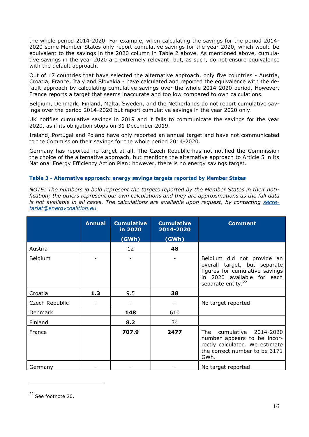the whole period 2014-2020. For example, when calculating the savings for the period 2014- 2020 some Member States only report cumulative savings for the year 2020, which would be equivalent to the savings in the 2020 column in Table 2 above. As mentioned above, cumulative savings in the year 2020 are extremely relevant, but, as such, do not ensure equivalence with the default approach.

Out of 17 countries that have selected the alternative approach, only five countries - Austria, Croatia, France, Italy and Slovakia - have calculated and reported the equivalence with the default approach by calculating cumulative savings over the whole 2014-2020 period. However, France reports a target that seems inaccurate and too low compared to own calculations.

Belgium, Denmark, Finland, Malta, Sweden, and the Netherlands do not report cumulative savings over the period 2014-2020 but report cumulative savings in the year 2020 only.

UK notifies cumulative savings in 2019 and it fails to communicate the savings for the year 2020, as if its obligation stops on 31 December 2019.

Ireland, Portugal and Poland have only reported an annual target and have not communicated to the Commission their savings for the whole period 2014-2020.

Germany has reported no target at all. The Czech Republic has not notified the Commission the choice of the alternative approach, but mentions the alternative approach to Article 5 in its National Energy Efficiency Action Plan; however, there is no energy savings target.

#### <span id="page-15-0"></span>**Table 3 - Alternative approach: energy savings targets reported by Member States**

*NOTE: The numbers in bold represent the targets reported by the Member States in their notification; the others represent our own calculations and they are approximations as the full data is not available in all cases. The calculations are available upon request, by contacting [secre](mailto:secretariat@energycoalition.eu)[tariat@energycoalition.eu](mailto:secretariat@energycoalition.eu)*

|                | <b>Annual</b> | <b>Cumulative</b><br>in 2020<br>(GWh) | <b>Cumulative</b><br>2014-2020<br>(GWh) | <b>Comment</b>                                                                                                                                               |
|----------------|---------------|---------------------------------------|-----------------------------------------|--------------------------------------------------------------------------------------------------------------------------------------------------------------|
| Austria        |               | 12                                    | 48                                      |                                                                                                                                                              |
| Belgium        |               |                                       |                                         | Belgium did not provide an<br>overall target, but separate<br>figures for cumulative savings<br>in 2020 available for each<br>separate entity. <sup>22</sup> |
| Croatia        | 1.3           | 9.5                                   | 38                                      |                                                                                                                                                              |
| Czech Republic |               |                                       |                                         | No target reported                                                                                                                                           |
| Denmark        |               | 148                                   | 610                                     |                                                                                                                                                              |
| Finland        |               | 8.2                                   | 34                                      |                                                                                                                                                              |
| France         |               | 707.9                                 | 2477                                    | cumulative 2014-2020<br>The<br>number appears to be incor-<br>rectly calculated. We estimate<br>the correct number to be 3171<br>GWh.                        |
| Germany        |               |                                       |                                         | No target reported                                                                                                                                           |

<sup>22</sup> See footnote 20.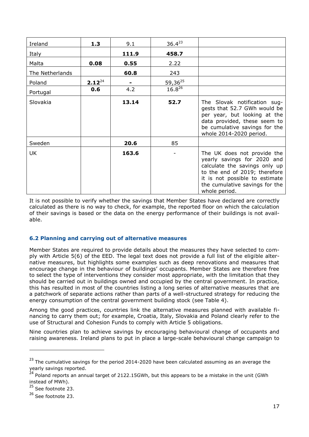| Ireland         | 1.3         | 9.1   | $36.4^{23}$ |                                                                                                                                                                                                                   |
|-----------------|-------------|-------|-------------|-------------------------------------------------------------------------------------------------------------------------------------------------------------------------------------------------------------------|
| Italy           |             | 111.9 | 458.7       |                                                                                                                                                                                                                   |
| Malta           | 0.08        | 0.55  | 2.22        |                                                                                                                                                                                                                   |
| The Netherlands |             | 60.8  | 243         |                                                                                                                                                                                                                   |
| Poland          | $2.12^{24}$ |       | 59,3625     |                                                                                                                                                                                                                   |
| Portugal        | 0.6         | 4.2   | $16.8^{26}$ |                                                                                                                                                                                                                   |
| Slovakia        |             | 13.14 | 52.7        | The Slovak notification sug-<br>gests that 52.7 GWh would be<br>per year, but looking at the<br>data provided, these seem to<br>be cumulative savings for the<br>whole 2014-2020 period.                          |
| Sweden          |             | 20.6  | 85          |                                                                                                                                                                                                                   |
| UK              |             | 163.6 |             | The UK does not provide the<br>yearly savings for 2020 and<br>calculate the savings only up<br>to the end of 2019; therefore<br>it is not possible to estimate<br>the cumulative savings for the<br>whole period. |

It is not possible to verify whether the savings that Member States have declared are correctly calculated as there is no way to check, for example, the reported floor on which the calculation of their savings is based or the data on the energy performance of their buildings is not available.

### <span id="page-16-0"></span>**6.2 Planning and carrying out of alternative measures**

Member States are required to provide details about the measures they have selected to comply with Article 5(6) of the EED. The legal text does not provide a full list of the eligible alternative measures, but highlights some examples such as deep renovations and measures that encourage change in the behaviour of buildings' occupants. Member States are therefore free to select the type of interventions they consider most appropriate, with the limitation that they should be carried out in buildings owned and occupied by the central government. In practice, this has resulted in most of the countries listing a long series of alternative measures that are a patchwork of separate actions rather than parts of a well-structured strategy for reducing the energy consumption of the central government building stock (see Table 4).

Among the good practices, countries link the alternative measures planned with available financing to carry them out; for example, Croatia, Italy, Slovakia and Poland clearly refer to the use of Structural and Cohesion Funds to comply with Article 5 obligations.

Nine countries plan to achieve savings by encouraging behavioural change of occupants and raising awareness. Ireland plans to put in place a large-scale behavioural change campaign to

<sup>&</sup>lt;sup>23</sup> The cumulative savings for the period 2014-2020 have been calculated assuming as an average the yearly savings reported.

<sup>&</sup>lt;sup>24</sup> Poland reports an annual target of 2122.15GWh, but this appears to be a mistake in the unit (GWh instead of MWh).

<sup>&</sup>lt;sup>25</sup> See footnote 23.

<sup>&</sup>lt;sup>26</sup> See footnote 23.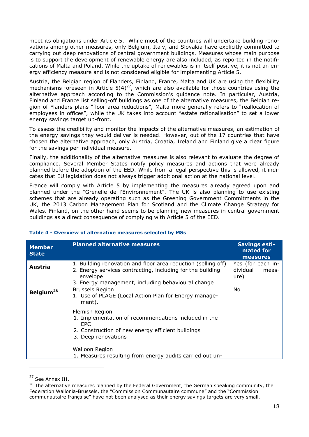meet its obligations under Article 5. While most of the countries will undertake building renovations among other measures, only Belgium, Italy, and Slovakia have explicitly committed to carrying out deep renovations of central government buildings. Measures whose main purpose is to support the development of renewable energy are also included, as reported in the notifications of Malta and Poland. While the uptake of renewables is in itself positive, it is not an energy efficiency measure and is not considered eligible for implementing Article 5.

Austria, the Belgian region of Flanders, Finland, France, Malta and UK are using the flexibility mechanisms foreseen in Article  $5(4)^{27}$ , which are also available for those countries using the alternative approach according to the Commission's guidance note. In particular, Austria, Finland and France list selling-off buildings as one of the alternative measures, the Belgian region of Flanders plans "floor area reductions", Malta more generally refers to "reallocation of employees in offices", while the UK takes into account "estate rationalisation" to set a lower energy savings target up-front.

To assess the credibility and monitor the impacts of the alternative measures, an estimation of the energy savings they would deliver is needed. However, out of the 17 countries that have chosen the alternative approach, only Austria, Croatia, Ireland and Finland give a clear figure for the savings per individual measure.

Finally, the additionality of the alternative measures is also relevant to evaluate the degree of compliance. Several Member States notify policy measures and actions that were already planned before the adoption of the EED. While from a legal perspective this is allowed, it indicates that EU legislation does not always trigger additional action at the national level.

France will comply with Article 5 by implementing the measures already agreed upon and planned under the "Grenelle de l'Environnement". The UK is also planning to use existing schemes that are already operating such as the Greening Government Commitments in the UK, the 2013 Carbon Management Plan for Scotland and the Climate Change Strategy for Wales. Finland, on the other hand seems to be planning new measures in central government buildings as a direct consequence of complying with Article 5 of the EED.

| <b>Member</b><br><b>State</b> | <b>Planned alternative measures</b>                                                                                                                                                           | <b>Savings esti-</b><br>mated for<br>measures  |
|-------------------------------|-----------------------------------------------------------------------------------------------------------------------------------------------------------------------------------------------|------------------------------------------------|
| Austria                       | 1. Building renovation and floor area reduction (selling off)<br>2. Energy services contracting, including for the building<br>envelope<br>3. Energy management, including behavioural change | Yes (for each in-<br>dividual<br>meas-<br>ure) |
| Belgium <sup>28</sup>         | <b>Brussels Region</b><br>1. Use of PLAGE (Local Action Plan for Energy manage-<br>ment).                                                                                                     | No                                             |
|                               | Flemish Region<br>1. Implementation of recommendations included in the<br>EPC.<br>2. Construction of new energy efficient buildings<br>3. Deep renovations                                    |                                                |
|                               | <b>Walloon Region</b><br>1. Measures resulting from energy audits carried out un-                                                                                                             |                                                |

#### <span id="page-17-0"></span>**Table 4 - Overview of alternative measures selected by MSs**

<sup>&</sup>lt;sup>27</sup> See Annex III.

 $28$  The alternative measures planned by the Federal Government, the German speaking community, the Federation Wallonia-Brussels, the "Commission Communautaire commune" and the "Commission communautaire française" have not been analysed as their energy savings targets are very small.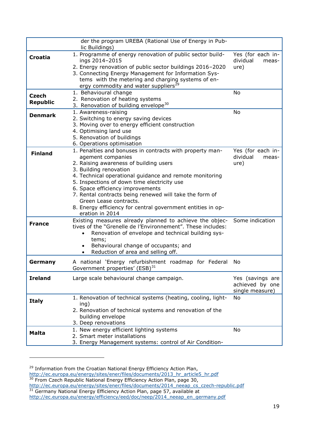|                 | der the program UREBA (Rational Use of Energy in Pub-<br>lic Buildings)                                                                                                               |                                        |
|-----------------|---------------------------------------------------------------------------------------------------------------------------------------------------------------------------------------|----------------------------------------|
| <b>Croatia</b>  | 1. Programme of energy renovation of public sector build-<br>ings 2014-2015                                                                                                           | Yes (for each in-<br>dividual<br>meas- |
|                 | 2. Energy renovation of public sector buildings 2016-2020                                                                                                                             | ure)                                   |
|                 | 3. Connecting Energy Management for Information Sys-                                                                                                                                  |                                        |
|                 | tems with the metering and charging systems of en-                                                                                                                                    |                                        |
|                 | ergy commodity and water suppliers <sup>29</sup>                                                                                                                                      |                                        |
| <b>Czech</b>    | 1. Behavioural change                                                                                                                                                                 | No                                     |
| <b>Republic</b> | 2. Renovation of heating systems<br>3. Renovation of building envelope <sup>30</sup>                                                                                                  |                                        |
|                 | 1. Awareness-raising                                                                                                                                                                  | No                                     |
| <b>Denmark</b>  | 2. Switching to energy saving devices                                                                                                                                                 |                                        |
|                 | 3. Moving over to energy efficient construction                                                                                                                                       |                                        |
|                 | 4. Optimising land use                                                                                                                                                                |                                        |
|                 | 5. Renovation of buildings                                                                                                                                                            |                                        |
|                 | 6. Operations optimisation                                                                                                                                                            |                                        |
|                 | 1. Penalties and bonuses in contracts with property man-                                                                                                                              | Yes (for each in-                      |
| <b>Finland</b>  | agement companies                                                                                                                                                                     | dividual<br>meas-                      |
|                 | 2. Raising awareness of building users                                                                                                                                                | ure)                                   |
|                 | 3. Building renovation                                                                                                                                                                |                                        |
|                 | 4. Technical operational guidance and remote monitoring                                                                                                                               |                                        |
|                 | 5. Inspections of down time electricity use                                                                                                                                           |                                        |
|                 | 6. Space efficiency improvements                                                                                                                                                      |                                        |
|                 | 7. Rental contracts being renewed will take the form of                                                                                                                               |                                        |
|                 | Green Lease contracts.                                                                                                                                                                |                                        |
|                 | 8. Energy efficiency for central government entities in op-<br>eration in 2014                                                                                                        |                                        |
| <b>France</b>   | Existing measures already planned to achieve the objec-<br>tives of the "Grenelle de l'Environnement". These includes:<br>Renovation of envelope and technical building sys-<br>tems; | Some indication                        |
|                 | Behavioural change of occupants; and                                                                                                                                                  |                                        |
|                 | Reduction of area and selling off.                                                                                                                                                    |                                        |
| Germany         | A national 'Energy refurbishment roadmap for Federal<br>Government properties' (ESB) <sup>31</sup>                                                                                    | No                                     |
| <b>Ireland</b>  | Large scale behavioural change campaign.                                                                                                                                              | Yes (savings are                       |
|                 |                                                                                                                                                                                       | achieved by one<br>single measure)     |
| <b>Italy</b>    | 1. Renovation of technical systems (heating, cooling, light-                                                                                                                          | No                                     |
|                 | ing)<br>2. Renovation of technical systems and renovation of the                                                                                                                      |                                        |
|                 | building envelope                                                                                                                                                                     |                                        |
|                 | 3. Deep renovations                                                                                                                                                                   |                                        |
|                 | 1. New energy efficient lighting systems                                                                                                                                              | No                                     |
| <b>Malta</b>    | 2. Smart meter installations                                                                                                                                                          |                                        |
|                 | 3. Energy Management systems: control of Air Condition-                                                                                                                               |                                        |

<sup>29</sup> Information from the Croatian National Energy Efficiency Action Plan, [http://ec.europa.eu/energy/sites/ener/files/documents/2013\\_hr\\_article5\\_hr.pdf](http://ec.europa.eu/energy/sites/ener/files/documents/2013_hr_article5_hr.pdf) <sup>30</sup> From Czech Republic National Energy Efficiency Action Plan, page 30, [http://ec.europa.eu/energy/sites/ener/files/documents/2014\\_neeap\\_cs\\_czech-republic.pdf](http://ec.europa.eu/energy/sites/ener/files/documents/2014_neeap_cs_czech-republic.pdf)  $31$  Germany National Energy Efficiency Action Plan, page 57, available at

[http://ec.europa.eu/energy/efficiency/eed/doc/neep/2014\\_neeap\\_en\\_germany.pdf](http://ec.europa.eu/energy/efficiency/eed/doc/neep/2014_neeap_en_germany.pdf)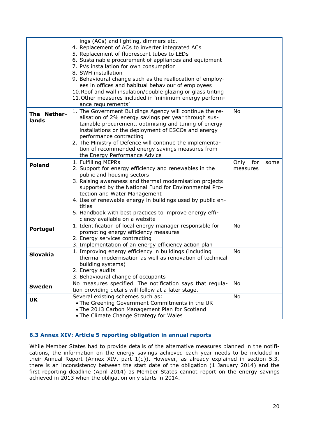|                      | ings (ACs) and lighting, dimmers etc.<br>4. Replacement of ACs to inverter integrated ACs<br>5. Replacement of fluorescent tubes to LEDs<br>6. Sustainable procurement of appliances and equipment<br>7. PVs installation for own consumption<br>8. SWH installation                                                                                                                                                                |                  |     |      |
|----------------------|-------------------------------------------------------------------------------------------------------------------------------------------------------------------------------------------------------------------------------------------------------------------------------------------------------------------------------------------------------------------------------------------------------------------------------------|------------------|-----|------|
|                      | 9. Behavioural change such as the reallocation of employ-<br>ees in offices and habitual behaviour of employees<br>10. Roof and wall insulation/double glazing or glass tinting<br>11. Other measures included in 'minimum energy perform-<br>ance requirements'                                                                                                                                                                    |                  |     |      |
| The Nether-<br>lands | 1. The Government Buildings Agency will continue the re-<br>alisation of 2% energy savings per year through sus-<br>tainable procurement, optimising and tuning of energy<br>installations or the deployment of ESCOs and energy<br>performance contracting<br>2. The Ministry of Defence will continue the implementa-<br>tion of recommended energy savings measures from<br>the Energy Performance Advice                        | No               |     |      |
| <b>Poland</b>        | 1. Fulfilling MEPRs<br>2. Support for energy efficiency and renewables in the<br>public and housing sectors<br>3. Raising awareness and thermal modernisation projects<br>supported by the National Fund for Environmental Pro-<br>tection and Water Management<br>4. Use of renewable energy in buildings used by public en-<br>tities<br>5. Handbook with best practices to improve energy effi-<br>ciency available on a website | Only<br>measures | for | some |
| Portugal             | 1. Identification of local energy manager responsible for<br>promoting energy efficiency measures<br>2. Energy services contracting<br>3. Implementation of an energy efficiency action plan                                                                                                                                                                                                                                        | No               |     |      |
| <b>Slovakia</b>      | 1. Improving energy efficiency in buildings (including<br>thermal modernisation as well as renovation of technical<br>building systems)<br>2. Energy audits<br>3. Behavioural change of occupants                                                                                                                                                                                                                                   | No               |     |      |
| <b>Sweden</b>        | No measures specified. The notification says that regula-<br>tion providing details will follow at a later stage.                                                                                                                                                                                                                                                                                                                   | No               |     |      |
| UK                   | Several existing schemes such as:<br>. The Greening Government Commitments in the UK<br>. The 2013 Carbon Management Plan for Scotland<br>• The Climate Change Strategy for Wales                                                                                                                                                                                                                                                   | No               |     |      |

### <span id="page-19-0"></span>**6.3 Annex XIV: Article 5 reporting obligation in annual reports**

While Member States had to provide details of the alternative measures planned in the notifications, the information on the energy savings achieved each year needs to be included in their Annual Report (Annex XIV, part 1(d)). However, as already explained in section 5.3, there is an inconsistency between the start date of the obligation (1 January 2014) and the first reporting deadline (April 2014) as Member States cannot report on the energy savings achieved in 2013 when the obligation only starts in 2014.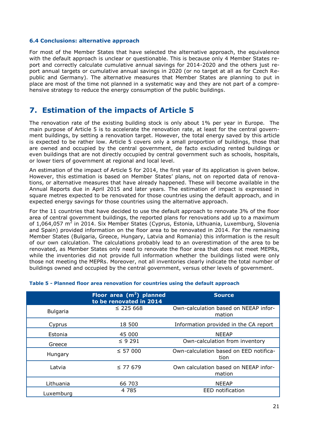#### <span id="page-20-0"></span>**6.4 Conclusions: alternative approach**

For most of the Member States that have selected the alternative approach, the equivalence with the default approach is unclear or questionable. This is because only 4 Member States report and correctly calculate cumulative annual savings for 2014-2020 and the others just report annual targets or cumulative annual savings in 2020 (or no target at all as for Czech Republic and Germany). The alternative measures that Member States are planning to put in place are most of the time not planned in a systematic way and they are not part of a comprehensive strategy to reduce the energy consumption of the public buildings.

## <span id="page-20-1"></span>**7. Estimation of the impacts of Article 5**

The renovation rate of the existing building stock is only about 1% per year in Europe. The main purpose of Article 5 is to accelerate the renovation rate, at least for the central government buildings, by setting a renovation target. However, the total energy saved by this article is expected to be rather low. Article 5 covers only a small proportion of buildings, those that are owned and occupied by the central government, de facto excluding rented buildings or even buildings that are not directly occupied by central government such as schools, hospitals, or lower tiers of government at regional and local level.

An estimation of the impact of Article 5 for 2014, the first year of its application is given below. However, this estimation is based on Member States' plans, not on reported data of renovations, or alternative measures that have already happened. These will become available in the Annual Reports due in April 2015 and later years. The estimation of impact is expressed in square metres expected to be renovated for those countries using the default approach, and in expected energy savings for those countries using the alternative approach.

For the 11 countries that have decided to use the default approach to renovate 3% of the floor area of central government buildings, the reported plans for renovations add up to a maximum of 1,064,057 m<sup>2</sup> in 2014. Six Member States (Cyprus, Estonia, Lithuania, Luxemburg, Slovenia and Spain) provided information on the floor area to be renovated in 2014. For the remaining Member States (Bulgaria, Greece, Hungary, Latvia and Romania) this information is the result of our own calculation. The calculations probably lead to an overestimation of the area to be renovated, as Member States only need to renovate the floor area that does not meet MEPRs, while the inventories did not provide full information whether the buildings listed were only those not meeting the MEPRs. Moreover, not all inventories clearly indicate the total number of buildings owned and occupied by the central government, versus other levels of government.

|                 | Floor area (m <sup>2</sup> ) planned<br>to be renovated in 2014 | <b>Source</b>                                   |
|-----------------|-----------------------------------------------------------------|-------------------------------------------------|
| <b>Bulgaria</b> | $\leq$ 225 668                                                  | Own-calculation based on NEEAP infor-<br>mation |
| Cyprus          | 18 500                                                          | Information provided in the CA report           |
| Estonia         | 45 000                                                          | <b>NEEAP</b>                                    |
| Greece          | $\leq$ 9 291                                                    | Own-calculation from inventory                  |
| Hungary         | $\leq$ 57 000                                                   | Own-calculation based on EED notifica-<br>tion  |
| Latvia          | $\leq$ 77 679                                                   | Own calculation based on NEEAP infor-<br>mation |
| Lithuania       | 66 703                                                          | <b>NEEAP</b>                                    |
| Luxemburg       | 4 7 8 5                                                         | EED notification                                |

### <span id="page-20-2"></span>**Table 5 - Planned floor area renovation for countries using the default approach**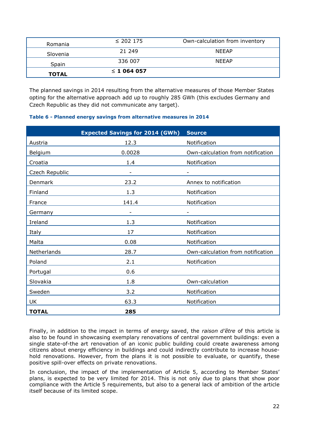| Romania      | $\leq$ 202 175 | Own-calculation from inventory |
|--------------|----------------|--------------------------------|
| Slovenia     | 21 249         | <b>NEEAP</b>                   |
| Spain        | 336 007        | <b>NEEAP</b>                   |
| <b>TOTAL</b> | $\leq 1064057$ |                                |

The planned savings in 2014 resulting from the alternative measures of those Member States opting for the alternative approach add up to roughly 285 GWh (this excludes Germany and Czech Republic as they did not communicate any target).

### <span id="page-21-0"></span>**Table 6 - Planned energy savings from alternative measures in 2014**

|                | <b>Expected Savings for 2014 (GWh)</b> | <b>Source</b>                     |
|----------------|----------------------------------------|-----------------------------------|
| Austria        | 12.3                                   | Notification                      |
| Belgium        | 0.0028                                 | Own-calculation from notification |
| Croatia        | 1.4                                    | Notification                      |
| Czech Republic | $\overline{\phantom{a}}$               | $\qquad \qquad -$                 |
| Denmark        | 23.2                                   | Annex to notification             |
| Finland        | 1.3                                    | Notification                      |
| France         | 141.4                                  | Notification                      |
| Germany        |                                        |                                   |
| Ireland        | 1.3                                    | Notification                      |
| Italy          | 17                                     | Notification                      |
| Malta          | 0.08                                   | Notification                      |
| Netherlands    | 28.7                                   | Own-calculation from notification |
| Poland         | 2.1                                    | Notification                      |
| Portugal       | 0.6                                    |                                   |
| Slovakia       | 1.8                                    | Own-calculation                   |
| Sweden         | 3.2                                    | Notification                      |
| UK             | 63.3                                   | Notification                      |
| <b>TOTAL</b>   | 285                                    |                                   |

Finally, in addition to the impact in terms of energy saved, the *raison d'être* of this article is also to be found in showcasing exemplary renovations of central government buildings: even a single state-of-the art renovation of an iconic public building could create awareness among citizens about energy efficiency in buildings and could indirectly contribute to increase household renovations. However, from the plans it is not possible to evaluate, or quantify, these positive spill-over effects on private renovations.

In conclusion, the impact of the implementation of Article 5, according to Member States' plans, is expected to be very limited for 2014. This is not only due to plans that show poor compliance with the Article 5 requirements, but also to a general lack of ambition of the article itself because of its limited scope.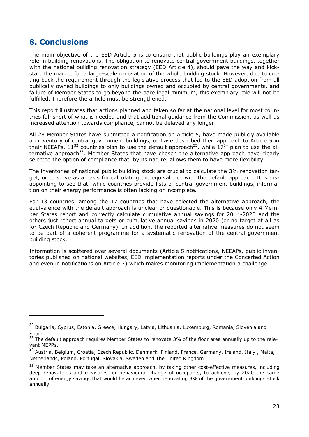# <span id="page-22-0"></span>**8. Conclusions**

-

The main objective of the EED Article 5 is to ensure that public buildings play an exemplary role in building renovations. The obligation to renovate central government buildings, together with the national building renovation strategy (EED Article 4), should pave the way and kickstart the market for a large-scale renovation of the whole building stock. However, due to cutting back the requirement through the legislative process that led to the EED adoption from all publically owned buildings to only buildings owned and occupied by central governments, and failure of Member States to go beyond the bare legal minimum, this exemplary role will not be fulfilled. Therefore the article must be strengthened.

This report illustrates that actions planned and taken so far at the national level for most countries fall short of what is needed and that additional guidance from the Commission, as well as increased attention towards compliance, cannot be delayed any longer.

All 28 Member States have submitted a notification on Article 5, have made publicly available an inventory of central government buildings, or have described their approach to Article 5 in their NEEAPs. 11<sup>32</sup> countries plan to use the default approach<sup>33</sup>, while 17<sup>34</sup> plan to use the alternative approach<sup>35</sup>. Member States that have chosen the alternative approach have clearly selected the option of compliance that, by its nature, allows them to have more flexibility.

The inventories of national public building stock are crucial to calculate the 3% renovation target, or to serve as a basis for calculating the equivalence with the default approach. It is disappointing to see that, while countries provide lists of central government buildings, information on their energy performance is often lacking or incomplete.

For 13 countries, among the 17 countries that have selected the alternative approach, the equivalence with the default approach is unclear or questionable. This is because only 4 Member States report and correctly calculate cumulative annual savings for 2014-2020 and the others just report annual targets or cumulative annual savings in 2020 (or no target at all as for Czech Republic and Germany). In addition, the reported alternative measures do not seem to be part of a coherent programme for a systematic renovation of the central government building stock.

Information is scattered over several documents (Article 5 notifications, NEEAPs, public inventories published on national websites, EED implementation reports under the Concerted Action and even in notifications on Article 7) which makes monitoring implementation a challenge.

<sup>&</sup>lt;sup>32</sup> Bulgaria, Cyprus, Estonia, Greece, Hungary, Latvia, Lithuania, Luxemburg, Romania, Slovenia and **Spain** 

The default approach requires Member States to renovate 3% of the floor area annually up to the relevant MEPRs.

<sup>&</sup>lt;sup>34</sup> Austria, Belgium, Croatia, Czech Republic, Denmark, Finland, France, Germany, Ireland, Italy, Malta, Netherlands, Poland, Portugal, Slovakia, Sweden and The United Kingdom

 $35$  Member States may take an alternative approach, by taking other cost-effective measures, including deep renovations and measures for behavioural change of occupants, to achieve, by 2020 the same amount of energy savings that would be achieved when renovating 3% of the government buildings stock annually.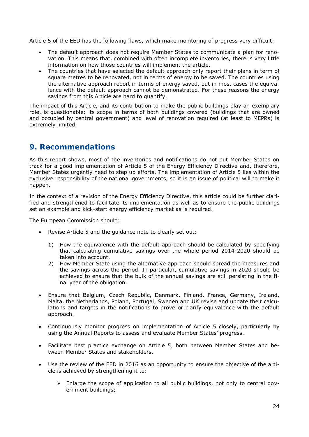Article 5 of the EED has the following flaws, which make monitoring of progress very difficult:

- The default approach does not require Member States to communicate a plan for renovation. This means that, combined with often incomplete inventories, there is very little information on how those countries will implement the article.
- The countries that have selected the default approach only report their plans in term of square metres to be renovated, not in terms of energy to be saved. The countries using the alternative approach report in terms of energy saved, but in most cases the equivalence with the default approach cannot be demonstrated. For these reasons the energy savings from this Article are hard to quantify.

The impact of this Article, and its contribution to make the public buildings play an exemplary role, is questionable: its scope in terms of both buildings covered (buildings that are owned and occupied by central government) and level of renovation required (at least to MEPRs) is extremely limited.

# <span id="page-23-0"></span>**9. Recommendations**

As this report shows, most of the inventories and notifications do not put Member States on track for a good implementation of Article 5 of the Energy Efficiency Directive and, therefore, Member States urgently need to step up efforts. The implementation of Article 5 lies within the exclusive responsibility of the national governments, so it is an issue of political will to make it happen.

In the context of a revision of the Energy Efficiency Directive, this article could be further clarified and strengthened to facilitate its implementation as well as to ensure the public buildings set an example and kick-start energy efficiency market as is required.

The European Commission should:

- Revise Article 5 and the guidance note to clearly set out:
	- 1) How the equivalence with the default approach should be calculated by specifying that calculating cumulative savings over the whole period 2014-2020 should be taken into account.
	- 2) How Member State using the alternative approach should spread the measures and the savings across the period. In particular, cumulative savings in 2020 should be achieved to ensure that the bulk of the annual savings are still persisting in the final year of the obligation.
- Ensure that Belgium, Czech Republic, Denmark, Finland, France, Germany, Ireland, Malta, the Netherlands, Poland, Portugal, Sweden and UK revise and update their calculations and targets in the notifications to prove or clarify equivalence with the default approach.
- Continuously monitor progress on implementation of Article 5 closely, particularly by using the Annual Reports to assess and evaluate Member States' progress.
- Facilitate best practice exchange on Article 5, both between Member States and between Member States and stakeholders.
- Use the review of the EED in 2016 as an opportunity to ensure the objective of the article is achieved by strengthening it to:
	- $\triangleright$  Enlarge the scope of application to all public buildings, not only to central government buildings;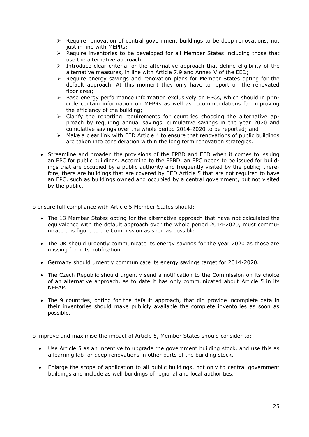- $\triangleright$  Require renovation of central government buildings to be deep renovations, not just in line with MEPRs;
- $\triangleright$  Require inventories to be developed for all Member States including those that use the alternative approach;
- $\triangleright$  Introduce clear criteria for the alternative approach that define eligibility of the alternative measures, in line with Article 7.9 and Annex V of the EED;
- $\triangleright$  Require energy savings and renovation plans for Member States opting for the default approach. At this moment they only have to report on the renovated floor area;
- $\triangleright$  Base energy performance information exclusively on EPCs, which should in principle contain information on MEPRs as well as recommendations for improving the efficiency of the building;
- Clarify the reporting requirements for countries choosing the alternative approach by requiring annual savings, cumulative savings in the year 2020 and cumulative savings over the whole period 2014-2020 to be reported; and
- $\triangleright$  Make a clear link with EED Article 4 to ensure that renovations of public buildings are taken into consideration within the long term renovation strategies.
- Streamline and broaden the provisions of the EPBD and EED when it comes to issuing an EPC for public buildings. According to the EPBD, an EPC needs to be issued for buildings that are occupied by a public authority and frequently visited by the public; therefore, there are buildings that are covered by EED Article 5 that are not required to have an EPC, such as buildings owned and occupied by a central government, but not visited by the public.

To ensure full compliance with Article 5 Member States should:

- The 13 Member States opting for the alternative approach that have not calculated the equivalence with the default approach over the whole period 2014-2020, must communicate this figure to the Commission as soon as possible.
- The UK should urgently communicate its energy savings for the year 2020 as those are missing from its notification.
- Germany should urgently communicate its energy savings target for 2014-2020.
- The Czech Republic should urgently send a notification to the Commission on its choice of an alternative approach, as to date it has only communicated about Article 5 in its NEEAP.
- The 9 countries, opting for the default approach, that did provide incomplete data in their inventories should make publicly available the complete inventories as soon as possible.

To improve and maximise the impact of Article 5, Member States should consider to:

- Use Article 5 as an incentive to upgrade the government building stock, and use this as a learning lab for deep renovations in other parts of the building stock.
- Enlarge the scope of application to all public buildings, not only to central government buildings and include as well buildings of regional and local authorities.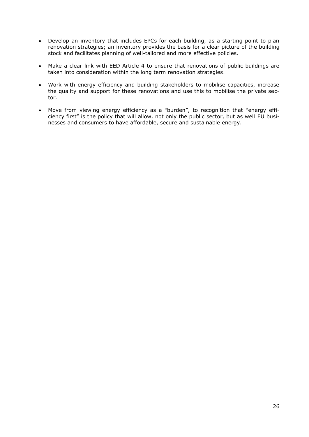- Develop an inventory that includes EPCs for each building, as a starting point to plan renovation strategies; an inventory provides the basis for a clear picture of the building stock and facilitates planning of well-tailored and more effective policies.
- Make a clear link with EED Article 4 to ensure that renovations of public buildings are taken into consideration within the long term renovation strategies.
- Work with energy efficiency and building stakeholders to mobilise capacities, increase the quality and support for these renovations and use this to mobilise the private sector.
- Move from viewing energy efficiency as a "burden", to recognition that "energy efficiency first" is the policy that will allow, not only the public sector, but as well EU businesses and consumers to have affordable, secure and sustainable energy.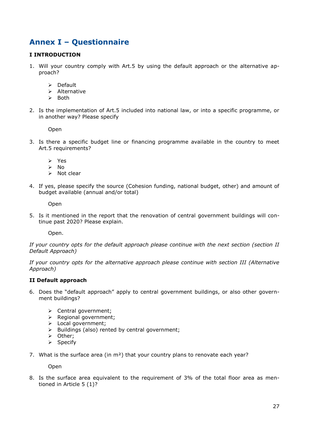# <span id="page-26-0"></span>**Annex I – Questionnaire**

### **I INTRODUCTION**

- 1. Will your country comply with Art.5 by using the default approach or the alternative approach?
	- $\triangleright$  Default
	- $\triangleright$  Alternative
	- $\triangleright$  Both
- 2. Is the implementation of Art.5 included into national law, or into a specific programme, or in another way? Please specify

Open

- 3. Is there a specific budget line or financing programme available in the country to meet Art.5 requirements?
	- Yes
	- $\triangleright$  No
	- $\triangleright$  Not clear
- 4. If yes, please specify the source (Cohesion funding, national budget, other) and amount of budget available (annual and/or total)

Open

5. Is it mentioned in the report that the renovation of central government buildings will continue past 2020? Please explain.

Open.

*If your country opts for the default approach please continue with the next section (section II Default Approach)*

*If your country opts for the alternative approach please continue with section III (Alternative Approach)*

#### **II Default approach**

- 6. Does the "default approach" apply to central government buildings, or also other government buildings?
	- $\triangleright$  Central government;
	- $\triangleright$  Regional government;
	- > Local government;
	- $\triangleright$  Buildings (also) rented by central government;
	- > Other:
	- $\triangleright$  Specify
- 7. What is the surface area (in  $m^2$ ) that your country plans to renovate each year?

Open

8. Is the surface area equivalent to the requirement of 3% of the total floor area as mentioned in Article 5 (1)?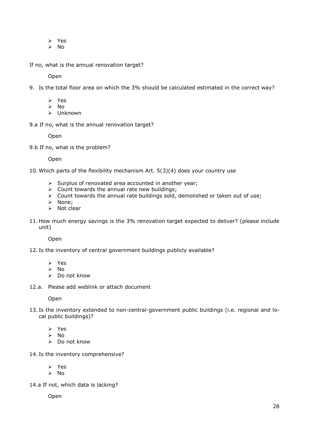- Yes
- $\triangleright$  No

If no, what is the annual renovation target?

Open

- 9. Is the total floor area on which the 3% should be calculated estimated in the correct way?
	- Yes
	- $\triangleright$  No.
	- $\sum$  Unknown

9.a If no, what is the annual renovation target?

Open

9.b If no, what is the problem?

Open

10. Which parts of the flexibility mechanism Art. 5(3)(4) does your country use

- $\triangleright$  Surplus of renovated area accounted in another year;
- $\triangleright$  Count towards the annual rate new buildings;
- $\triangleright$  Count towards the annual rate buildings sold, demolished or taken out of use;
- > None:
- $\triangleright$  Not clear
- 11. How much energy savings is the 3% renovation target expected to deliver? (please include unit)

Open

- 12. Is the inventory of central government buildings publicly available?
	- Yes
	- $\triangleright$  No
	- $\triangleright$  Do not know
- 12.a. Please add weblink or attach document

Open

- 13. Is the inventory extended to non-central-government public buildings (i.e. regional and local public buildings)?
	- $\triangleright$  Yes
	- $\triangleright$  No
	- Do not know
- 14. Is the inventory comprehensive?

Yes

 $\triangleright$  No

14.a If not, which data is lacking?

Open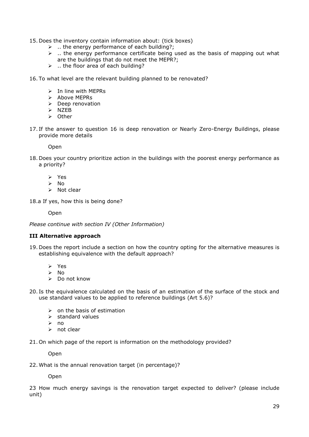- 15. Does the inventory contain information about: (tick boxes)
	- $\triangleright$  ... the energy performance of each building?;
	- $\triangleright$  ... the energy performance certificate being used as the basis of mapping out what are the buildings that do not meet the MEPR?;
	- $\triangleright$  ... the floor area of each building?
- 16. To what level are the relevant building planned to be renovated?
	- $\triangleright$  In line with MEPRs
	- $\triangleright$  Above MEPRs
	- $\triangleright$  Deep renovation
	- $>$  NZEB
	- $\triangleright$  Other
- 17. If the answer to question 16 is deep renovation or Nearly Zero-Energy Buildings, please provide more details

**Open** 

- 18. Does your country prioritize action in the buildings with the poorest energy performance as a priority?
	- $\triangleright$  Yes
	- $\triangleright$  No
	- $\triangleright$  Not clear
- 18.a If yes, how this is being done?

Open

*Please continue with section IV (Other Information)*

#### **III Alternative approach**

- 19. Does the report include a section on how the country opting for the alternative measures is establishing equivalence with the default approach?
	- $\triangleright$  Yes
	- $\triangleright$  No
	- Do not know
- 20. Is the equivalence calculated on the basis of an estimation of the surface of the stock and use standard values to be applied to reference buildings (Art 5.6)?
	- $\triangleright$  on the basis of estimation
	- $\triangleright$  standard values
	- no
	- $\triangleright$  not clear
- 21. On which page of the report is information on the methodology provided?

Open

22. What is the annual renovation target (in percentage)?

Open

23 How much energy savings is the renovation target expected to deliver? (please include unit)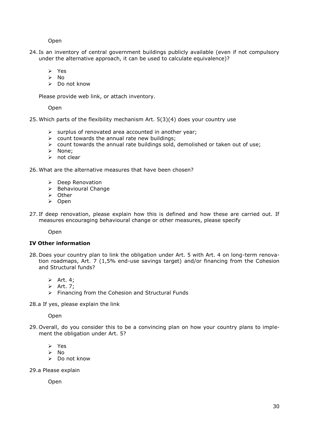Open

- 24. Is an inventory of central government buildings publicly available (even if not compulsory under the alternative approach, it can be used to calculate equivalence)?
	- Yes
	- $\triangleright$  No
	- $\triangleright$  Do not know

Please provide web link, or attach inventory.

Open

25. Which parts of the flexibility mechanism Art. 5(3)(4) does your country use

- $\triangleright$  surplus of renovated area accounted in another year;
- $\triangleright$  count towards the annual rate new buildings;
- $\triangleright$  count towards the annual rate buildings sold, demolished or taken out of use;
- > None;
- $\triangleright$  not clear

26. What are the alternative measures that have been chosen?

- ▶ Deep Renovation
- > Behavioural Change
- $\triangleright$  Other
- > Open
- 27. If deep renovation, please explain how this is defined and how these are carried out. If measures encouraging behavioural change or other measures, please specify

Open

#### **IV Other information**

- 28. Does your country plan to link the obligation under Art. 5 with Art. 4 on long-term renovation roadmaps, Art. 7 (1,5% end-use savings target) and/or financing from the Cohesion and Structural funds?
	- $\triangleright$  Art. 4;
	- $\triangleright$  Art. 7;
	- $\triangleright$  Financing from the Cohesion and Structural Funds

28.a If yes, please explain the link

Open

- 29. Overall, do you consider this to be a convincing plan on how your country plans to implement the obligation under Art. 5?
	- > Yes
	- $\triangleright$  No
	- $\triangleright$  Do not know
- 29.a Please explain

Open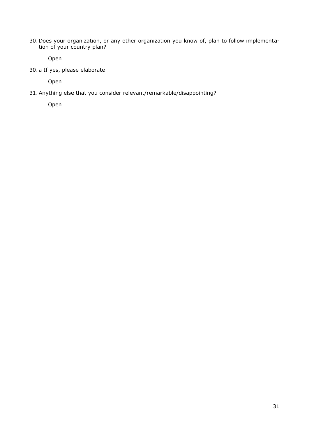30. Does your organization, or any other organization you know of, plan to follow implementation of your country plan?

Open

30. a If yes, please elaborate

Open

31.Anything else that you consider relevant/remarkable/disappointing?

Open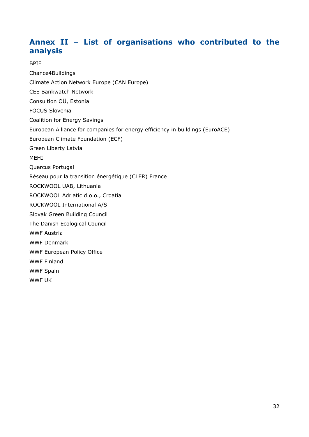# <span id="page-31-0"></span>**Annex II – List of organisations who contributed to the analysis**

### BPIE

Chance4Buildings Climate Action Network Europe (CAN Europe) CEE Bankwatch Network Consultion OÜ, Estonia FOCUS Slovenia Coalition for Energy Savings European Alliance for companies for energy efficiency in buildings (EuroACE) European Climate Foundation (ECF) Green Liberty Latvia MEHI Quercus Portugal Réseau pour la transition énergétique (CLER) France ROCKWOOL UAB, Lithuania ROCKWOOL Adriatic d.o.o., Croatia ROCKWOOL International A/S Slovak Green Building Council The Danish Ecological Council WWF Austria WWF Denmark WWF European Policy Office WWF Finland WWF Spain WWF UK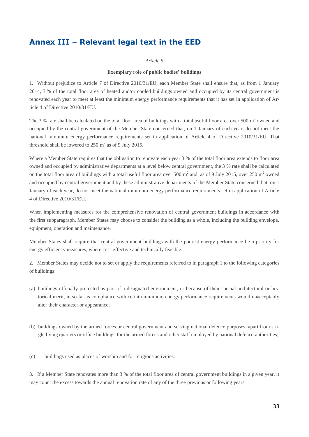# <span id="page-32-0"></span>**Annex III – Relevant legal text in the EED**

#### *Article 5*

#### **Exemplary role of public bodies' buildings**

1. Without prejudice to Article 7 of Directive 2010/31/EU, each Member State shall ensure that, as from 1 January 2014, 3 % of the total floor area of heated and/or cooled buildings owned and occupied by its central government is renovated each year to meet at least the minimum energy performance requirements that it has set in application of Article 4 of Directive 2010/31/EU.

The 3 % rate shall be calculated on the total floor area of buildings with a total useful floor area over 500  $m<sup>2</sup>$  owned and occupied by the central government of the Member State concerned that, on 1 January of each year, do not meet the national minimum energy performance requirements set in application of Article 4 of Directive 2010/31/EU. That threshold shall be lowered to  $250 \text{ m}^2$  as of 9 July 2015.

Where a Member State requires that the obligation to renovate each year 3 % of the total floor area extends to floor area owned and occupied by administrative departments at a level below central government, the 3 % rate shall be calculated on the total floor area of buildings with a total useful floor area over 500  $m^2$  and, as of 9 July 2015, over 250  $m^2$  owned and occupied by central government and by these administrative departments of the Member State concerned that, on 1 January of each year, do not meet the national minimum energy performance requirements set in application of Article 4 of Directive 2010/31/EU.

When implementing measures for the comprehensive renovation of central government buildings in accordance with the first subparagraph, Member States may choose to consider the building as a whole, including the building envelope, equipment, operation and maintenance.

Member States shall require that central government buildings with the poorest energy performance be a priority for energy efficiency measures, where cost-effective and technically feasible.

2. Member States may decide not to set or apply the requirements referred to in paragraph 1 to the following categories of buildings:

- (a) buildings officially protected as part of a designated environment, or because of their special architectural or historical merit, in so far as compliance with certain minimum energy performance requirements would unacceptably alter their character or appearance;
- (b) buildings owned by the armed forces or central government and serving national defence purposes, apart from single living quarters or office buildings for the armed forces and other staff employed by national defence authorities;
- (c) buildings used as places of worship and for religious activities.

3. If a Member State renovates more than 3 % of the total floor area of central government buildings in a given year, it may count the excess towards the annual renovation rate of any of the three previous or following years.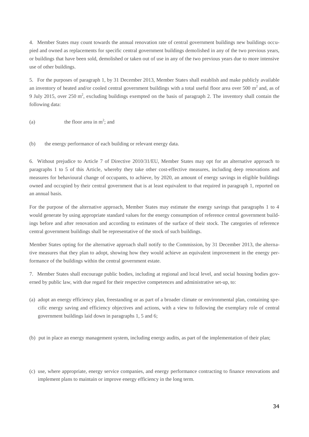4. Member States may count towards the annual renovation rate of central government buildings new buildings occupied and owned as replacements for specific central government buildings demolished in any of the two previous years, or buildings that have been sold, demolished or taken out of use in any of the two previous years due to more intensive use of other buildings.

5. For the purposes of paragraph 1, by 31 December 2013, Member States shall establish and make publicly available an inventory of heated and/or cooled central government buildings with a total useful floor area over 500  $m<sup>2</sup>$  and, as of 9 July 2015, over 250  $m^2$ , excluding buildings exempted on the basis of paragraph 2. The inventory shall contain the following data:

(a) the floor area in  $m^2$ ; and

(b) the energy performance of each building or relevant energy data.

6. Without prejudice to Article 7 of Directive 2010/31/EU, Member States may opt for an alternative approach to paragraphs 1 to 5 of this Article, whereby they take other cost-effective measures, including deep renovations and measures for behavioural change of occupants, to achieve, by 2020, an amount of energy savings in eligible buildings owned and occupied by their central government that is at least equivalent to that required in paragraph 1, reported on an annual basis.

For the purpose of the alternative approach, Member States may estimate the energy savings that paragraphs 1 to 4 would generate by using appropriate standard values for the energy consumption of reference central government buildings before and after renovation and according to estimates of the surface of their stock. The categories of reference central government buildings shall be representative of the stock of such buildings.

Member States opting for the alternative approach shall notify to the Commission, by 31 December 2013, the alternative measures that they plan to adopt, showing how they would achieve an equivalent improvement in the energy performance of the buildings within the central government estate.

7. Member States shall encourage public bodies, including at regional and local level, and social housing bodies governed by public law, with due regard for their respective competences and administrative set-up, to:

(a) adopt an energy efficiency plan, freestanding or as part of a broader climate or environmental plan, containing specific energy saving and efficiency objectives and actions, with a view to following the exemplary role of central government buildings laid down in paragraphs 1, 5 and 6;

(b) put in place an energy management system, including energy audits, as part of the implementation of their plan;

(c) use, where appropriate, energy service companies, and energy performance contracting to finance renovations and implement plans to maintain or improve energy efficiency in the long term.